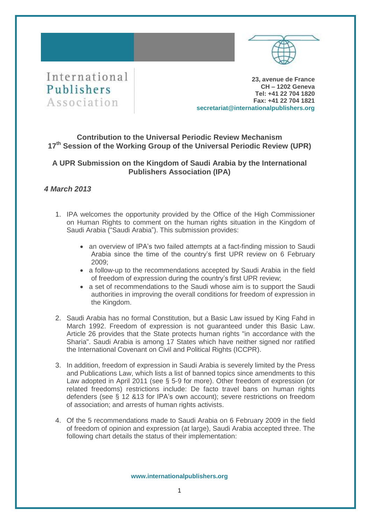



**23, avenue de France CH – 1202 Geneva Tel: +41 22 704 1820 Fax: +41 22 704 1821 secretariat@internationalpublishers.org**

## **Contribution to the Universal Periodic Review Mechanism 17 th Session of the Working Group of the Universal Periodic Review (UPR)**

# **A UPR Submission on the Kingdom of Saudi Arabia by the International Publishers Association (IPA)**

## *4 March 2013*

- 1. IPA welcomes the opportunity provided by the Office of the High Commissioner on Human Rights to comment on the human rights situation in the Kingdom of Saudi Arabia ("Saudi Arabia"). This submission provides:
	- an overview of IPA's two failed attempts at a fact-finding mission to Saudi Arabia since the time of the country's first UPR review on 6 February 2009;
	- a follow-up to the recommendations accepted by Saudi Arabia in the field of freedom of expression during the country's first UPR review;
	- a set of recommendations to the Saudi whose aim is to support the Saudi authorities in improving the overall conditions for freedom of expression in the Kingdom.
- 2. Saudi Arabia has no formal Constitution, but a Basic Law issued by King Fahd in March 1992. Freedom of expression is not guaranteed under this Basic Law. Article 26 provides that the State protects human rights "in accordance with the Sharia". Saudi Arabia is among 17 States which have neither signed nor ratified the International Covenant on Civil and Political Rights (ICCPR).
- 3. In addition, freedom of expression in Saudi Arabia is severely limited by the Press and Publications Law, which lists a list of banned topics since amendments to this Law adopted in April 2011 (see § 5-9 for more). Other freedom of expression (or related freedoms) restrictions include: De facto travel bans on human rights defenders (see § 12 &13 for IPA's own account); severe restrictions on freedom of association; and arrests of human rights activists.
- 4. Of the 5 recommendations made to Saudi Arabia on 6 February 2009 in the field of freedom of opinion and expression (at large), Saudi Arabia accepted three. The following chart details the status of their implementation: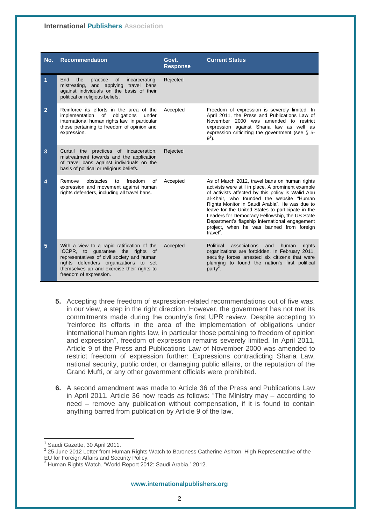### **International Publishers Association**

| No.            | <b>Recommendation</b>                                                                                                                                                                                                                          | Govt.<br><b>Response</b> | <b>Current Status</b>                                                                                                                                                                                                                                                                                                                                                                                                                                                                |
|----------------|------------------------------------------------------------------------------------------------------------------------------------------------------------------------------------------------------------------------------------------------|--------------------------|--------------------------------------------------------------------------------------------------------------------------------------------------------------------------------------------------------------------------------------------------------------------------------------------------------------------------------------------------------------------------------------------------------------------------------------------------------------------------------------|
| 1              | End<br>practice<br>0f<br>the<br>incarcerating,<br>mistreating, and applying travel bans<br>against individuals on the basis of their<br>political or religious beliefs.                                                                        | Rejected                 |                                                                                                                                                                                                                                                                                                                                                                                                                                                                                      |
| $\overline{2}$ | Reinforce its efforts in the area of the<br>obligations<br>implementation<br>of<br>under<br>international human rights law, in particular<br>those pertaining to freedom of opinion and<br>expression.                                         | Accepted                 | Freedom of expression is severely limited. In<br>April 2011, the Press and Publications Law of<br>November 2000 was amended to restrict<br>expression against Sharia law as well as<br>expression criticizing the government (see § 5-<br>$9^1$ ).                                                                                                                                                                                                                                   |
| 3              | Curtail the practices of incarceration,<br>mistreatment towards and the application<br>of travel bans against individuals on the<br>basis of political or religious beliefs.                                                                   | Rejected                 |                                                                                                                                                                                                                                                                                                                                                                                                                                                                                      |
| 4              | Remove<br>obstacles<br>freedom<br>of<br>to<br>expression and movement against human<br>rights defenders, including all travel bans.                                                                                                            | Accepted                 | As of March 2012, travel bans on human rights<br>activists were still in place. A prominent example<br>of activists affected by this policy is Walid Abu<br>al-Khair, who founded the website "Human<br>Rights Monitor in Saudi Arabia". He was due to<br>leave for the United States to participate in the<br>Leaders for Democracy Fellowship, the US State<br>Department's flagship international engagement<br>project, when he was banned from foreign<br>travel <sup>2</sup> . |
| 5              | With a view to a rapid ratification of the<br>ICCPR, to guarantee the rights of<br>representatives of civil society and human<br>rights defenders organizations to set<br>themselves up and exercise their rights to<br>freedom of expression. | Accepted                 | associations<br>Political<br>and<br>human<br>rights<br>organizations are forbidden. In February 2011,<br>security forces arrested six citizens that were<br>planning to found the nation's first political<br>party <sup>3</sup> .                                                                                                                                                                                                                                                   |

- **5.** Accepting three freedom of expression-related recommendations out of five was, in our view, a step in the right direction. However, the government has not met its commitments made during the country's first UPR review. Despite accepting to "reinforce its efforts in the area of the implementation of obligations under international human rights law, in particular those pertaining to freedom of opinion and expression", freedom of expression remains severely limited. In April 2011, Article 9 of the Press and Publications Law of November 2000 was amended to restrict freedom of expression further: Expressions contradicting Sharia Law, national security, public order, or damaging public affairs, or the reputation of the Grand Mufti, or any other government officials were prohibited.
- **6.** A second amendment was made to Article 36 of the Press and Publications Law in April 2011. Article 36 now reads as follows: "The Ministry may – according to need – remove any publication without compensation, if it is found to contain anything barred from publication by Article 9 of the law."

<sup>1</sup> Saudi Gazette, 30 April 2011.

 $2$  25 June 2012 Letter from Human Rights Watch to Baroness Catherine Ashton, High Representative of the EU for Foreign Affairs and Security Policy.

<sup>3</sup> Human Rights Watch. "World Report 2012: Saudi Arabia," 2012.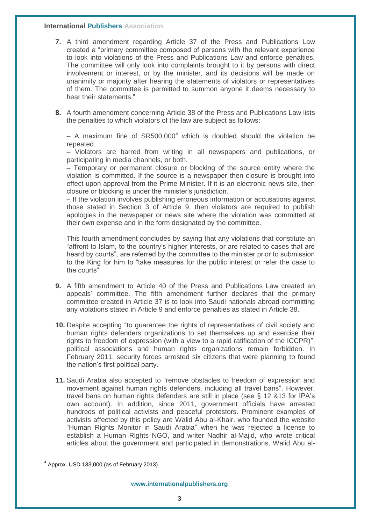#### **International Publishers Association**

- **7.** A third amendment regarding Article 37 of the Press and Publications Law created a "primary committee composed of persons with the relevant experience to look into violations of the Press and Publications Law and enforce penalties. The committee will only look into complaints brought to it by persons with direct involvement or interest, or by the minister, and its decisions will be made on unanimity or majority after hearing the statements of violators or representatives of them. The committee is permitted to summon anyone it deems necessary to hear their statements."
- **8.** A fourth amendment concerning Article 38 of the Press and Publications Law lists the penalties to which violators of the law are subject as follows:

– A maximum fine of  $SR500,000^4$  which is doubled should the violation be repeated.

– Violators are barred from writing in all newspapers and publications, or participating in media channels, or both.

– Temporary or permanent closure or blocking of the source entity where the violation is committed. If the source is a newspaper then closure is brought into effect upon approval from the Prime Minister. If it is an electronic news site, then closure or blocking is under the minister's jurisdiction.

– If the violation involves publishing erroneous information or accusations against those stated in Section 3 of Article 9, then violators are required to publish apologies in the newspaper or news site where the violation was committed at their own expense and in the form designated by the committee.

This fourth amendment concludes by saying that any violations that constitute an "affront to Islam, to the country's higher interests, or are related to cases that are heard by courts", are referred by the committee to the minister prior to submission to the King for him to "take measures for the public interest or refer the case to the courts".

- **9.** A fifth amendment to Article 40 of the Press and Publications Law created an appeals' committee. The fifth amendment further declares that the primary committee created in Article 37 is to look into Saudi nationals abroad committing any violations stated in Article 9 and enforce penalties as stated in Article 38.
- **10.** Despite accepting "to guarantee the rights of representatives of civil society and human rights defenders organizations to set themselves up and exercise their rights to freedom of expression (with a view to a rapid ratification of the ICCPR)", political associations and human rights organizations remain forbidden. In February 2011, security forces arrested six citizens that were planning to found the nation's first political party.
- **11.** Saudi Arabia also accepted to "remove obstacles to freedom of expression and movement against human rights defenders, including all travel bans". However, travel bans on human rights defenders are still in place (see § 12 &13 for IPA's own account). In addition, since 2011, government officials have arrested hundreds of political activists and peaceful protestors. Prominent examples of activists affected by this policy are Walid Abu al-Khair, who founded the website "Human Rights Monitor in Saudi Arabia" when he was rejected a license to establish a Human Rights NGO, and writer Nadhir al-Majid, who wrote critical articles about the government and participated in demonstrations. Walid Abu al-

 4 Approx. USD 133,000 (as of February 2013).